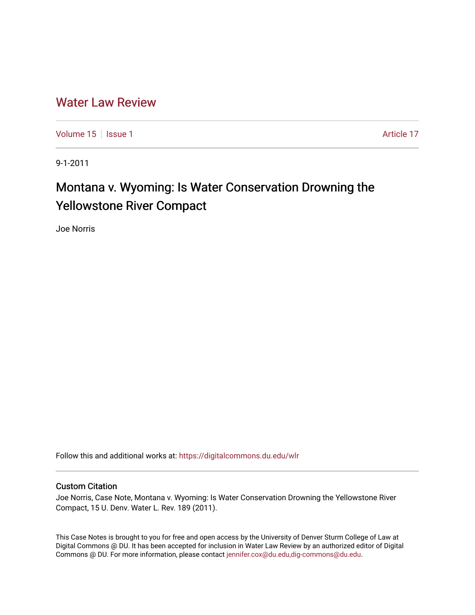# [Water Law Review](https://digitalcommons.du.edu/wlr)

[Volume 15](https://digitalcommons.du.edu/wlr/vol15) | [Issue 1](https://digitalcommons.du.edu/wlr/vol15/iss1) Article 17

9-1-2011

# Montana v. Wyoming: Is Water Conservation Drowning the Yellowstone River Compact

Joe Norris

Follow this and additional works at: [https://digitalcommons.du.edu/wlr](https://digitalcommons.du.edu/wlr?utm_source=digitalcommons.du.edu%2Fwlr%2Fvol15%2Fiss1%2F17&utm_medium=PDF&utm_campaign=PDFCoverPages) 

# Custom Citation

Joe Norris, Case Note, Montana v. Wyoming: Is Water Conservation Drowning the Yellowstone River Compact, 15 U. Denv. Water L. Rev. 189 (2011).

This Case Notes is brought to you for free and open access by the University of Denver Sturm College of Law at Digital Commons @ DU. It has been accepted for inclusion in Water Law Review by an authorized editor of Digital Commons @ DU. For more information, please contact [jennifer.cox@du.edu,dig-commons@du.edu.](mailto:jennifer.cox@du.edu,dig-commons@du.edu)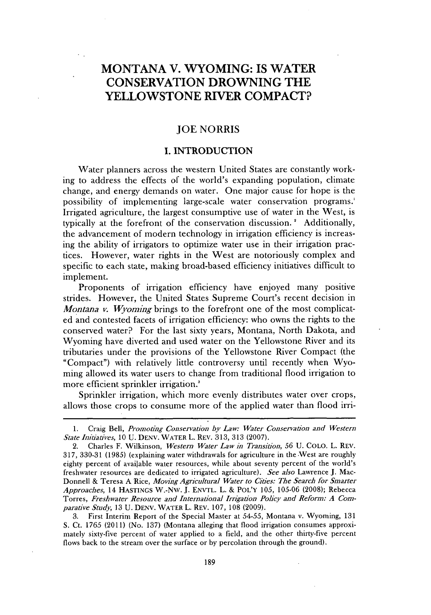# **MONTANA V. WYOMING: IS WATER CONSERVATION DROWNING THE YELLOWSTONE RIVER COMPACT?**

# **JOE** NORRIS

# **1. INTRODUCTION**

Water planners across the western United States are constantly working to address the effects of the world's expanding population, climate change, and energy demands on water. One major cause for hope is the possibility of implementing large-scale water conservation programs. Irrigated agriculture, the largest consumptive use of water in the West, **is** typically at the forefront of the conservation discussion. **'** Additionally, the advancement of modern technology in irrigation efficiency is increasing the ability of irrigators to optimize water use in their irrigation practices. However, water rights in the West are notoriously complex and specific to each state, making broad-based efficiency initiatives difficult to implement.

Proponents of irrigation efficiency have enjoyed many positive strides. However, the United States Supreme Court's recent decision in *Montana v. Wyoming* brings to the forefront one of the most complicated and contested facets of irrigation efficiency: who owns the rights to the conserved water? For the last sixty years, Montana, North Dakota, and Wyoming have diverted and used water on the Yellowstone River and its tributaries under the provisions of the Yellowstone River Compact (the "Compact") with relatively little controversy until recently when Wyoming allowed its water users to change from traditional flood irrigation to more efficient sprinkler irrigation.'

Sprinkler irrigation, which more evenly distributes water over crops, allows those crops to consume more of the applied water than flood irri-

**3.** First Interim Report of the Special Master at *54-55,* Montana v. Wyoming, **131 S.** Ct. **1765** (2011) (No. **137)** (Montana alleging that flood irrigation consumes approximately sixty-five percent of water applied to a field, and the other thirty-five percent flows back to the stream over the surface or **by** percolation through the ground).

**<sup>1.</sup>** Craig Bell, *Promoting Conservation by Law: Water Conservation and Western State Initiatives, 10* **U. DENV.** WATER L. REV. **313, 313 (2007).**

<sup>2.</sup> Charles F. Wilkinson, *Western Water Law in Transition, 56* **U. COLO.** L. REV. **317, 330-31 (1985)** (explaining water withdrawals for agriculture in the West are roughly eighty percent of available water resources, while about seventy percent of the world's freshwater resources are dedicated to irrigated agriculture). *See also* Lawrence **J.** Mac-Donnell **&** Teresa **A** Rice, *Moving Agricultural Water to Cities: The Search for Smarter Approaches,* 14 **HASTINGS** W.-Nw. **J.** ENvTL. L. **&** POL'Y **105, 105-06 (2008);** Rebecca *Torres, Freshwater Resource and International Irrigation Policy and Reform: A Comparative Study,* **13 U. DENV.** WATER L. REV. **107, 108 (2009).**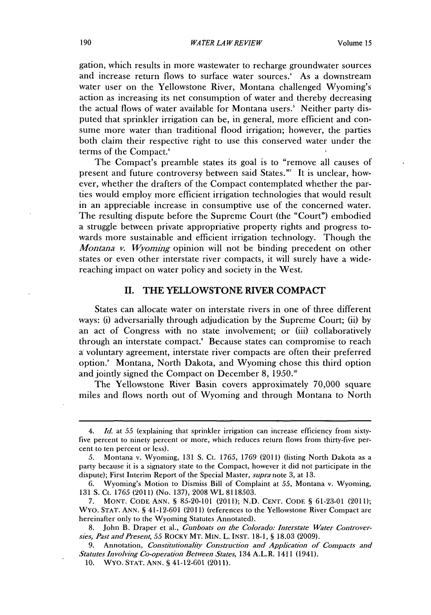gation, which results in more wastewater to recharge groundwater sources and increase return flows to surface water sources.' As a downstream water user on the Yellowstone River, Montana challenged Wyoming's action as increasing its net consumption of water and thereby decreasing the actual flows of water available for Montana users.' Neither party disputed that sprinkler irrigation can be, in general, more efficient and consume more water than traditional flood irrigation; however, the parties both claim their respective right to use this conserved water under the terms of the Compact.<sup>6</sup>

The Compact's preamble states its goal is to "remove all causes of present and future controversy between said States."' It is unclear, however, whether the drafters of the Compact contemplated whether the parties would employ more efficient irrigation technologies that would result in an appreciable increase in consumptive use of the concerned water. The resulting dispute before the Supreme Court (the "Court") embodied a struggle between private appropriative property rights and progress towards more sustainable and efficient irrigation technology. Though the *Montana v. Wyoming* opinion will not be binding precedent on other states or even other interstate river compacts, it will surely have a widereaching impact on water policy and society in the West.

#### **II. THE YELLOWSTONE RIVER COMPACT**

States can allocate water on interstate rivers in one of three different ways: **(i)** adversarially through adjudication **by** the Supreme Court; **(ii) by** an act of Congress with no state involvement; or **(iii)** collaboratively through an interstate compact." Because states can compromise to reach a voluntary agreement, interstate river compacts are often their preferred option.' Montana, North Dakota, and Wyoming chose this third option and jointly signed the Compact on December **8, 1950."**

The Yellowstone River Basin covers approximately **70,000** square miles and flows north out of Wyoming and through Montana to North

<sup>4.</sup> *Id. at 55* (explaining that sprinkler irrigation can increase efficiency from sixtyfive percent to ninety percent or more, which reduces return flows from thirty-five percent to ten percent or less).

*<sup>5.</sup>* Montana v. Wyoming, **131 S.** Ct. *1765,* **1769** (2011) (listing North Dakota as a party because it is a signatory state to the Compact, however it did not participate in the dispute); First Interim Report of the Special Master, *supra* note **3,** at **13.**

**<sup>6.</sup>** Wyoming's Motion to Dismiss Bill of Complaint at *55,* Montana v. Wyoming, **131 S.** Ct. **1765** (2011) (No. **137), 2008** WL **8118503.**

**<sup>7.</sup> MONT. CODE ANN. § 85-20-101 (2011); N.D. CENT. CODE § 61-23-01 (2011);** WYo. **STAT. ANN. §** 41-12-601 (2011) (references to the Yellowstone River Compact are hereinafter only to the Wyoming Statutes Annotated).

**<sup>8.</sup>** John B. Draper et al., *Gunboats on the Colorado: Interstate Water Controversies, Past and Present, 55* ROCKY MT. **MIN.** L. **INST. 18-1, § 18.03 (2009).**

**<sup>9.</sup>** Annotation, *Constitutionality Construction and Application of Compacts and Statutes Involving Co-operation Between States,* 134 A.L.R. 1411 **(1941).**

**<sup>10.</sup> WYo. STAT. ANN. § 41-12-601 (2011).**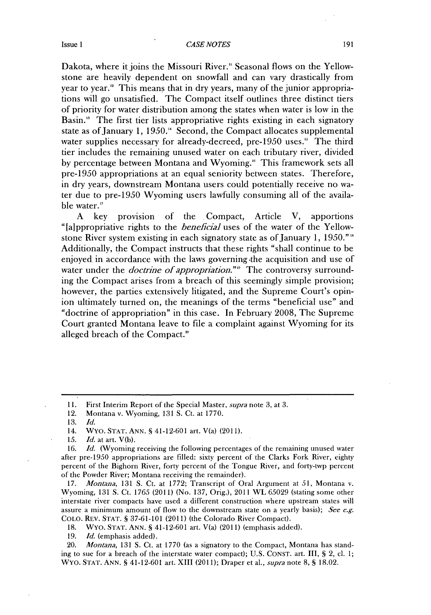#### **Issue 1 CASE NOTES** 191

Dakota, where it joins the Missouri River." Seasonal flows on the Yellowstone are heavily dependent on snowfall and can vary drastically from year to year." This means that in dry years, many of the junior appropriations will go unsatisfied. The Compact itself outlines three distinct tiers of priority for water distribution among the states when water is low in the Basin.<sup>18</sup> The first tier lists appropriative rights existing in each signatory state as of January **1,** *1950."* Second, the Compact allocates supplemental water supplies necessary for already-decreed, pre-1950 uses.<sup>15</sup> The third tier includes the remaining unused water on each tributary river, divided **by** percentage between Montana and Wyoming." This framework sets all pre-1950 appropriations at an equal seniority between states. Therefore, in dry years, downstream Montana users could potentially receive no water due to pre-1950 Wyoming users lawfully consuming all of the available water."

**A** key provision of the Compact, Article V, apportions "[aippropriative rights to the *beneficial* uses of the water of the Yellowstone River system existing in each signatory state as of January **1, 1950."'** Additionally, the Compact instructs that these rights "shall continue to be enjoyed in accordance with the laws governing -the acquisition and use of water under the *doctrine of appropriation*."<sup>9</sup> The controversy surrounding the Compact arises from a breach of this seemingly simple provision; however, the parties extensively litigated, and the Supreme Court's opinion ultimately turned on, the meanings of the terms "beneficial use" and "doctrine of appropriation" in this case. In February **2008,** The Supreme Court granted Montana leave to file a complaint against Wyoming for its alleged breach of the Compact.'

**17.** *Montana,* **131 S.** Ct. at **1772;** Transcript of Oral Argument at *51,* Montana v. Wyoming, **131 S.** Ct. **1765** (2011) (No. **137,** Orig.), 2011 WL *65029* (stating some other interstate river compacts have used a different construction where upstream states will assure a minimum amount of flow to the downstream state on a yearly basis); *See e.g.* **COLO.** REV. **STAT. S 37-61-101** (2011) (the Colorado River Compact).

**18.** WYo. **STAT. ANN. S** 41-12-601 art. V(a) (2011) (emphasis added).

*19. Id.* (emphasis added).

20. *Montana,* **131 S.** Ct. at **1770** (as a signatory to the Compact, Montana has standing to sue for a breach of the interstate water compact); **U.S. CONsT.** art. III, **S** 2, cl. **1;** WYo. **STAT. ANN. §** 41-12-601 art. XIII **(2011);** Draper et al., *supra* note **8, § 18.02.**

**<sup>11.</sup>** First Interim Report of the Special Master, *supra* note **3,** at **3.**

<sup>12.</sup> Montana v. Wyoming, **131 S.** Ct. at **1770.**

**<sup>13.</sup>** *Id.*

<sup>14.</sup> WYo. **STAT. ANN. S** 41-12-601 art. V(a) **(2011).**

*<sup>15.</sup> Id.* at art. **V(b).**

**<sup>16.</sup>** *Id.* (Wyoming receiving the following percentages of the remaining unused water after pre-1950 appropriations are filled: sixty percent of the Clarks Fork River, eighty percent of the Bighorn River, forty percent of the Tongue River, and forty-twp percent of the Powder River; Montana receiving the remainder).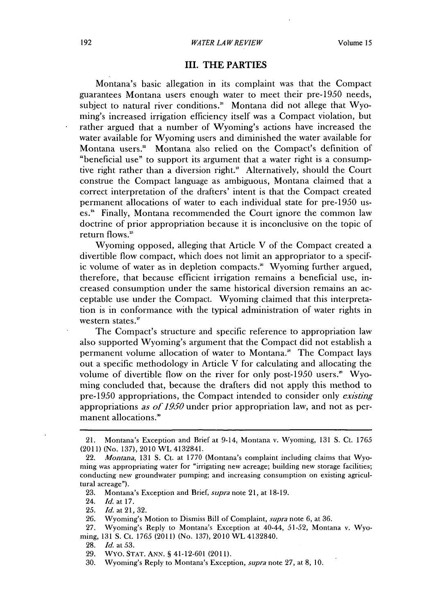### **III. THE PARTIES**

Montana's basic allegation in its complaint was that the Compact guarantees Montana users enough water to meet their pre-1950 needs, subject to natural river conditions." Montana **did** not allege that Wyoming's increased irrigation efficiency itself was a Compact violation, but rather argued that a number of Wyoming's actions have increased the water available for Wyoming users and diminished the water available for Montana users.' Montana also relied on the Compact's definition of "beneficial use" to support its argument that a water right is a consumptive right rather than a diversion right."' Alternatively, should the Court construe the Compact language as ambiguous, Montana claimed that a correct interpretation of the drafters' intent is that the Compact created permanent allocations of water to each individual state for pre-1950 uses." Finally, Montana recommended the Court ignore the common law doctrine of prior appropriation because it is inconclusive on the topic of return flows."

Wyoming opposed, alleging that Article V of the Compact created a divertible flow compact, which does not limit an appropriator to a specific volume of water as in depletion compacts." Wyoming further argued, therefore, that because efficient irrigation remains a beneficial use, increased consumption under the same historical diversion remains an acceptable use under the Compact. Wyoming claimed that this interpretation is in conformance with the typical administration of water rights in western states.<sup>27</sup>

The Compact's structure and specific reference to appropriation law also supported Wyoming's argument that the Compact **did** not establish a permanent volume allocation of water to Montana." The Compact lays out a specific methodology in Article V for calculating and allocating the volume of divertible flow on the river for only post-1950 users." Wyoming concluded that, because the drafters did not apply this method to pre-1950 appropriations, the Compact intended to consider only *existing* appropriations *as of 1950* under prior appropriation law, and not as permanent allocations.<sup>30</sup>

<sup>21.</sup> Montana's Exception and Brief at 9-14, Montana v. Wyoming, **131 S.** Ct. **1765** (2011) (No. **137), 2010** WL 4132841.

<sup>22.</sup> *Montana,* **131 S.** Ct. at **1770** (Montana's complaint including claims that Wyoming was appropriating water for "irrigating new acreage; building new storage facilities; conducting new groundwater pumping; and increasing consumption on existing agricultural acreage").

**<sup>23.</sup>** Montana's Exception and Brief, *supra* note 21, at **18-19.**

<sup>24.</sup> *Id. at* **17.**

*<sup>25.</sup> Id. at* 21, *32.*

**<sup>26.</sup>** Wyoming's Motion to Dismiss Bill of Complaint, *supra* note **6,** at **36.**

*<sup>27.</sup>* Wyoming's Reply to Montana's Exception at 40-44, *51-52,* Montana v. Wyoming, **131 S.** Ct. **1765** (2011) (No. **137), 2010** WL 4132840.

**<sup>28.</sup>** *Id.* at *53.*

**<sup>29.</sup>** WYo. **STAT. ANN.** § 41-12-601 **(2011).**

**<sup>30.</sup>** Wyoming's Reply to Montana's Exception, *supra* note **27,** at **8, 10.**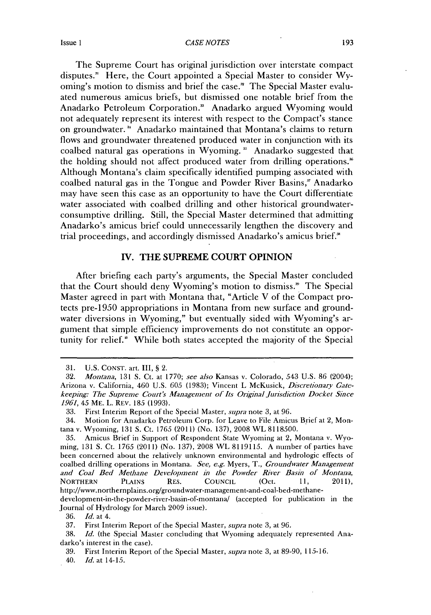#### **Issue 1 CASE NOTES 193**

The Supreme Court has original jurisdiction over interstate compact disputes." Here, the Court appointed a Special Master to consider **Wy**oming's motion to dismiss and brief the case." The Special Master evaluated numerous amicus briefs, but dismissed one notable brief from the Anadarko Petroleum Corporation." Anadarko argued Wyoming would not adequately represent its interest with respect to the Compact's stance on groundwater.<sup>34</sup> Anadarko maintained that Montana's claims to return flows and groundwater threatened produced water in conjunction with its coalbed natural gas operations in Wyoming. **'** Anadarko suggested that the holding should not affect produced water from drilling operations. Although Montana's claim specifically identified pumping associated with coalbed natural gas in the Tongue and Powder River Basins," Anadarko may have seen this case as an opportunity to have the Court differentiate water associated with coalbed drilling and other historical groundwaterconsumptive drilling. Still, the Special Master determined that admitting Anadarko's amicus brief could unnecessarily lengthen the discovery and trial proceedings, and accordingly dismissed Anadarko's amicus brief."

# **IV.** THE **SUPREME COURT** OPINION

After briefing each party's arguments, the Special Master concluded that the Court should deny Wyoming's motion to dismiss." The Special Master agreed in part with Montana that, "Article V of the Compact protects pre-1950 appropriations in Montana from new surface and groundwater diversions in Wyoming," but eventually sided with Wyoming's argument that simple efficiency improvements do not constitute an opportunity for relief.<sup>\*</sup> While both states accepted the majority of the Special

40. *Id.* at 14-15.

**<sup>31.</sup> U.S. CONsT.** art. III, **§** 2.

*<sup>32.</sup> Montana,* **131 S.** Ct. at **1770;** *see also* Kansas v. Colorado, *543* **U.S. 86** (2004); Arizona v. California, 460 **U.S.** *605* **(1983);** Vincent L McKusick, *Discretionary Gatekeeping: The Supreme Court's Management of Its Original Jurisdiction Docket Since 1961, 45* **ME.** L. **REV. 185 (1993).**

*<sup>33.</sup>* First Interim Report **of** the Special Master, *supra* note **3,** at **96.**

<sup>34.</sup> Motion for Anadarko Petroleum Corp. for Leave to File Amicus Brief at 2, Montana v. Wyoming, **131 S.** Ct. **1765** (2011) (No. **137), 2008** WL **8118500.**

**<sup>35.</sup>** Amicus Brief in Support of Respondent State Wyoming at 2, Montana v. Wyo**ming, 131 S.** Ct. **1765** (2011) (No. **137), 2008** WL **8119115. A** number of parties have been concerned about the relatively unknown environmental and hydrologic effects of coalbed drilling operations in Montana. *See, e.g.* Myers, T., *Groundwater Management and Coal Bed Methane Development in the Powder River Basin of Montana,* **NORTHERN PLAINS RES. COUNCIL (Oct. 11,** 2011), http://www.northernplains.org/groundwater-management-and-coal-bed-methane-

development-in-the-powder-river-basin-of-montanal (accepted for publication in the Journal of Hydrology for March **2009** issue).

*<sup>36.</sup> Id.* at 4.

**<sup>37.</sup>** First Interim Report of the Special Master, *supra* note **3,** at **96.**

**<sup>38.</sup>** *Id.* (the Special Master concluding that Wyoming adequately represented Anadarko's interest in the case).

**<sup>39.</sup>** First Interim Report of the Special Master, *supra* note **3,** at **89-90, 115-16.**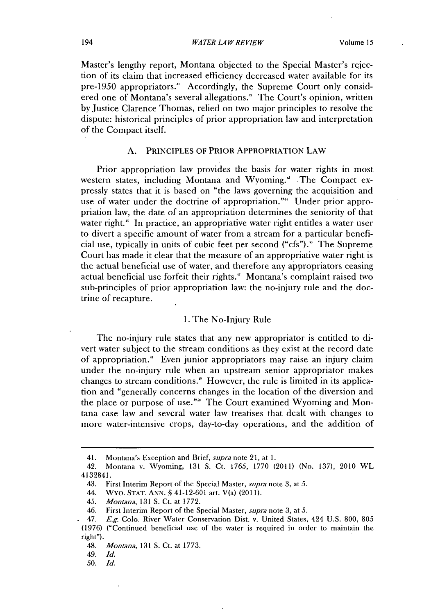Master's lengthy report, Montana objected to the Special Master's rejection of its claim that increased efficiency decreased water available for its pre-1950 appropriators." Accordingly, the Supreme Court only considered one of Montana's several allegations." The Court's opinion, written by Justice Clarence Thomas, relied on two major principles to resolve the dispute: historical principles of prior appropriation law and interpretation of the Compact itself.

# **A.** PRINCIPLES OF PRIOR APPROPRIATION LAW

Prior appropriation law provides the basis for water rights in most western states, including Montana and Wyoming.<sup>8</sup> The Compact expressly states that it is based on "the laws governing the acquisition and use of water under the doctrine of appropriation."" Under prior appropriation law, the date of an appropriation determines the seniority of that water right." In practice, an appropriative water right entitles a water user to divert a specific amount of water from a stream for a particular beneficial use, typically in units of cubic feet per second ("cfs")." The Supreme Court has made it clear that the measure of an appropriative water right **is** the actual beneficial use of water, and therefore any appropriators ceasing actual beneficial use forfeit their rights." Montana's complaint raised two sub-principles of prior appropriation law: the no-injury rule and the doctrine of recapture.

#### **1.** The No-Injury Rule

The no-injury rule states that any new appropriator is entitled to divert water subject to the stream conditions as they exist at the record date of appropriation.' Even junior appropriators may raise an injury claim under the no-injury rule when an upstream senior appropriator makes changes to stream conditions." However, the rule is limited in its application and "generally concerns changes in the location of the diversion and the place or purpose of use."<sup>\*</sup> The Court examined Wyoming and Montana case law and several water law treatises that dealt with changes to more water-intensive crops, day-to-day operations, and the addition of

44. WYo. **STAT. ANN. §** 41-12-601 art. V(a) **(2011).**

<sup>41.</sup> Montana's Exception and Brief, *supra* note 21, at **1.**

<sup>42.</sup> Montana v. Wyoming, **131 S.** Ct. **1765, 1770** (2011) (No. **137),** 2010 WL 4132841.

<sup>43.</sup> First Interim Report of the Special Master, *supra* note **3,** at *5.*

*<sup>45.</sup> Montana,* **131 S.** Ct. at **1772.**

<sup>46.</sup> First Interim Report of the Special Master, *supra* note **3,** at *5.*

<sup>47.</sup> *E.g.* Colo. River Water Conservation Dist. v. United States, 424 **U.S. 800, 805 (1976)** ("Continued beneficial use of the water is required in order to maintain the right").

<sup>48.</sup> *Montana,* **131 S.** Ct. at **1773.**

<sup>49.</sup> *Id.*

*<sup>50.</sup> Id.*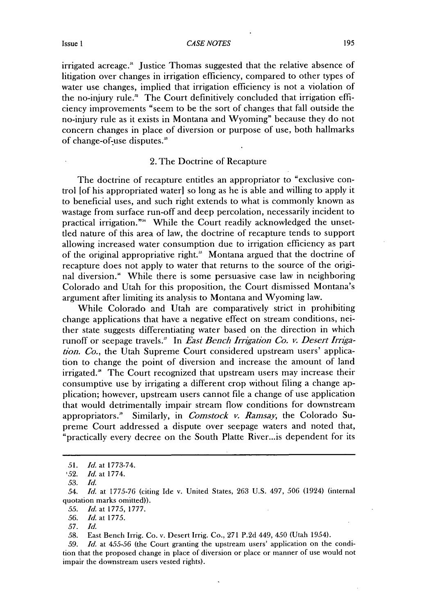**Issue 1 195 CASE NOTES** 

irrigated acreage." Justice Thomas suggested that the relative absence of litigation over changes in irrigation efficiency, compared to other types of water use changes, implied that irrigation efficiency is not a violation of the no-injury rule." The Court definitively concluded that irrigation efficiency improvements "seem to be the sort of changes that fall outside the no-injury rule as it exists in Montana and Wyoming" because they do not concern changes in place of diversion or purpose of use, both hallmarks of change-of-use disputes.'

## 2. The Doctrine of Recapture

The doctrine of recapture entitles an appropriator to "exclusive control [of his appropriated water] so long as he is able and willing to apply it to beneficial uses, and such right extends to what is commonly known as wastage from surface run-off and deep percolation, necessarily incident to practical irrigation."<sup>34</sup> While the Court readily acknowledged the unsettled nature of this area **of** law, the doctrine of recapture tends to support allowing increased water consumption due to irrigation efficiency as part of the original appropriative right.' Montana argued that the doctrine of recapture does not apply to water that returns to the source of the original diversion." While there is some persuasive case law in neighboring Colorado and Utah for this proposition, the Court dismissed Montana's argument after limiting its analysis to Montana and Wyoming law.

While Colorado and Utah are comparatively strict in prohibiting change applications that have a negative effect on stream conditions, neither state suggests differentiating water based on the direction in which runoff or seepage travels." In *East Bench Irrigation Co. v. Desert Irngation. Co.,* the Utah Supreme Court considered upstream users' application to change the point of diversion and increase the amount of land irrigated.<sup>8</sup> The Court recognized that upstream users may increase their consumptive use **by** irrigating a different crop without filing a change application; however, upstream users cannot file a change of use application that would detrimentally impair stream flow conditions for downstream appropriators.' Similarly, in *Comstock v. Ramsay,* the Colorado Supreme Court addressed a dispute over seepage waters and noted that, "practically every decree on the South Platte River...is dependent for its

*<sup>51.</sup> Id.* at **1773-74.**

*<sup>,52.</sup> Id.* at **1774.**

*<sup>53.</sup> Id.*

*<sup>54.</sup> Id.* at *1775-76* (citing Ide v. United States, **263 U.S.** 497, *506* (1924) (internal quotation marks omitted)).

*<sup>55.</sup> Id.* at **1775, 1777.**

*<sup>56.</sup> Id.* at *1775.*

*<sup>57.</sup> Id.*

*<sup>58.</sup>* East Bench Irrig. Co. v. Desert Irrig. Co., **271 P.2d** 449, 450 (Utah 1954).

*<sup>59.</sup> Id. at 455-56* (the Court granting the upstream users' application on the condition that the proposed change in place of diversion or place or manner of use would not impair the downstream users vested rights).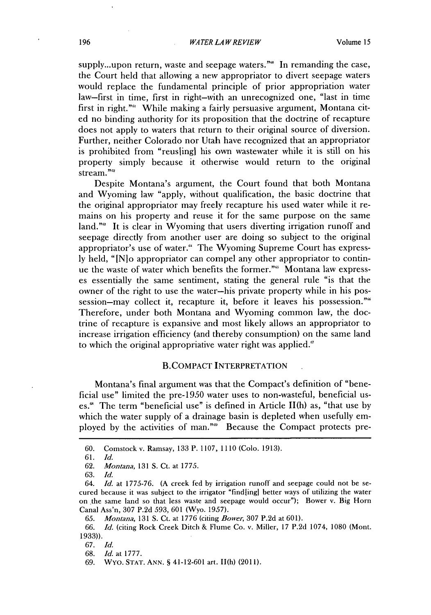supply...upon return, waste and seepage waters."" In remanding the case, the Court held that allowing a new appropriator to divert seepage waters would replace the fundamental principle of prior appropriation water law-first in time, first in right-with an unrecognized one, "last in time first in right."<sup>61</sup> While making a fairly persuasive argument, Montana cited no binding authority for its proposition that the doctrine of recapture does not apply to waters that return to their original source of diversion. Further, neither Colorado nor Utah have recognized that an appropriator is prohibited from "reuslingi his own wastewater while it is still on his property simply because it otherwise would return to the original stream."<sup>2</sup>

Despite Montana's argument, the Court found that both Montana and Wyoming law "apply, without qualification, the basic doctrine that the original appropriator may freely recapture his used water while it remains on his property and reuse it for the same purpose on the same land." $\alpha$  It is clear in Wyoming that users diverting irrigation runoff and seepage directly from another user are doing so subject to the original appropriator's use of water." The Wyoming Supreme Court has express**ly** held, "IN]o appropriator can compel any other appropriator to continue the waste of water which benefits the former."" Montana law expresses essentially the same sentiment, stating the general rule "is that the owner of the right to use the water-his private property while in his possession-may collect it, recapture it, before it leaves his possession."<sup>66</sup> Therefore, under both Montana and Wyoming common law, the doctrine of recapture is expansive and most likely allows an appropriator to increase irrigation efficiency (and thereby consumption) on the same land to which the original appropriative water right was applied."

#### B.COMPACT INTERPRETATION **.**

Montana's final argument was that the Compact's definition of "beneficial use" limited the pre-1950 water uses to non-wasteful, beneficial uses.' The term "beneficial use" is defined in Article 11(h) as, "that use **by** which the water supply of a drainage basin is depleted when usefully employed by the activities of man."<sup>99</sup> Because the Compact protects pre-

**62.** *Montana,* **131 S.** Ct. at **1775.**

**63.** *Id.*

**67.** *Id.*

**<sup>60.</sup>** Comstock v. Ramsay, **133** P. **1107, 1110** (Colo. **1913).**

**<sup>61.</sup>** *Id.*

*<sup>64.</sup> Id.* at **1775-76. (A** creek fed **by** irrigation runoff and seepage could not be secured because it was subject to the irrigator "findling] better ways of utilizing the water on the same land so that less waste and seepage would occur"); Bower v. Big Horn Canal Ass'n, **307 P.2d 593, 601** (Wyo. **1957).**

*<sup>65.</sup> Montana,* **131 S.** Ct. at **1776** (citing *Bower,* **307 P.2d** at **601).**

*<sup>66.</sup> Id.* (citing Rock Creek Ditch **&** Flume Co. v. Miller, **17 P.2d** 1074, **1080** (Mont. **1933)).**

**<sup>68.</sup>** *Id.* at **1777.**

**<sup>69.</sup>** WYo. **STAT. ANN. S** 41-12-601 art. 11(h) **(2011).**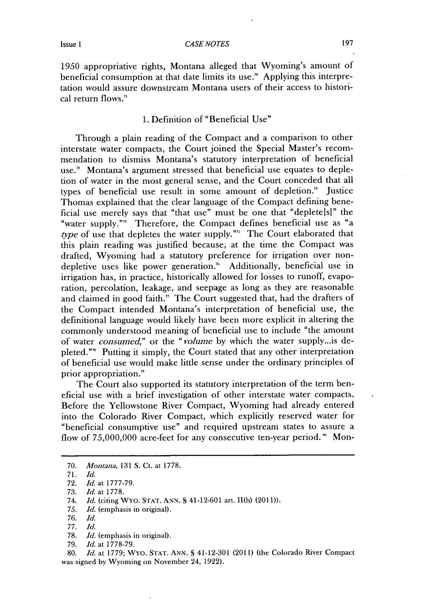**1950** appropriative rights, Montana alleged that Wyoming's amount of beneficial consumption at that date limits its use.' Applying this interpretation would assure downstream Montana users of their access to historical return flows."

# **1.** Definition of "Beneficial Use"

Through a plain reading of the Compact and a comparison to other interstate water compacts, the Court joined the Special Master's recommendation to dismiss Montana's statutory interpretation of beneficial use." Montana's argument stressed that beneficial use equates to depletion of water in the most general sense, and the Court conceded that all types of beneficial use result in some amount of depletion." Justice Thomas explained that the clear language of the Compact defining beneficial use merely says that "that use" must be one that "deplete[s]" the "water supply."" Therefore, the Compact defines beneficial use as "a *type* of use that depletes the water supply."' The Court elaborated that this plain reading was justified because; at the time the Compact was drafted, Wyoming had a statutory preference for irrigation over nondepletive uses like power generation." Additionally, beneficial use in irrigation has, in practice, historically allowed for losses to runoff, evaporation, percolation, leakage, and seepage as long as they are reasonable and claimed in good faith." The Court suggested that, had the drafters of the Compact intended Montana's interpretation of beneficial use, the definitional language would likely have been more explicit in altering the commonly understood meaning of beneficial use to include "the amount of water *consumed,"* or the *"volume* **by** which the water supply...is depleted."" Putting it simply, the Court stated that any other interpretation of beneficial use would make little sense under the ordinary principles of prior appropriation.'

The Court also supported its statutory interpretation of the term beneficial use with a brief investigation of other interstate water compacts. Before the Yellowstone River Compact, Wyoming had already entered into the Colorado River Compact, which explicitly reserved water for "beneficial consumptive use" and required upstream states to assure a flow of **75,000,000** acre-feet for any consecutive ten-year period. **"** Mon-

**80.** *Id.* at **1779;** WYo. **STAT. ANN. S** 41-12-301 (2011) (the Colorado River Compact was signed **by** Wyoming on November 24, **1922).**

**<sup>70.</sup>** *Montana,* **131 S.** Ct. at **1778.**

**<sup>71.</sup>** *Id.*

**<sup>72.</sup>** *Id. at* **1777-79.**

**<sup>73.</sup>** *Id. at* **1778.**

*<sup>74.</sup> Id.* (citing WYo. STAT. **ANN. §** 41-12-601 art. 11(h) **(2011)).**

*<sup>75.</sup> Id.* (emphasis in original).

*<sup>76.</sup> Id.*

*<sup>77.</sup> Id.*

**<sup>78.</sup>** *Id.* (emphasis in original).

*<sup>79.</sup> Id.* at **1778-79.**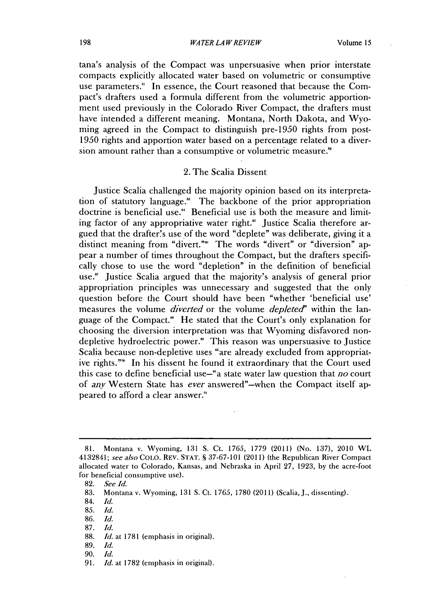tana's analysis of the Compact was unpersuasive when prior interstate compacts explicitly allocated water based on volumetric or consumptive use parameters." In essence, the Court reasoned that because the Compact's drafters used a formula different from the volumetric apportionment used previously in the Colorado River Compact, the drafters must have intended a different meaning. Montana, North Dakota, and Wyoming agreed in the Compact to distinguish pre-1950 rights from post-**1950** rights and apportion water based on a percentage related to a diversion amount rather than a consumptive or volumetric measure.<sup>"</sup>

# 2. The Scalia Dissent

Justice Scalia challenged the majority opinion based on its interpretation of statutory language.' The backbone of the prior appropriation doctrine is beneficial use." Beneficial use is both the measure and limiting factor of any appropriative water right.<sup>86</sup> Justice Scalia therefore argued that the drafter's use of the word "deplete" was deliberate, giving it a distinct meaning from "divert."<sup>\*\*</sup> The words "divert" or "diversion" appear a number of times throughout the Compact, but the drafters specifically chose to use the word "depletion" in the definition of beneficial use." Justice Scalia argued that the majority's analysis of general prior appropriation principles was unnecessary and suggested that the only question before the Court should have been "whether 'beneficial use' measures the volume *diverted* or the volume *depleted"* within the language of the Compact." He stated that the Court's only explanation for choosing the diversion interpretation was that Wyoming disfavored nondepletive hydroelectric power." This reason was unpersuasive to Justice Scalia because non-depletive uses "are already excluded from appropriat**ive** rights."" In his dissent he found it extraordinary that the Court used this case to define beneficial use-"a state water law question that *no* court of *any* Western State has *ever* answered"-when the Compact itself appeared to afford a clear answer."

**87.** *Id.*

**89.** *Id.*

**<sup>81.</sup>** Montana v. Wyoming, **131 S.** Ct. **1765, 1779** (2011) (No. **137),** 2010 WL 4132841; **see** also **COLO.** REV. **STAT. § 37-67-101** (2011) (the Republican River Compact allocated water to Colorado, Kansas, and Nebraska in April **27, 1923, by** the acre-foot for beneficial consumptive use).

**<sup>82.</sup>** *See Id.*

**<sup>83.</sup>** Montana v. Wyoming, **131 S.** Ct. *1765,* **1780** (2011) (Scalia, **J.,** dissenting).

<sup>84.</sup> *Id.*

*<sup>85.</sup> Id.*

**<sup>86.</sup>** *Id.*

**<sup>88.</sup>** *Id.* at **1781** (emphasis in original).

**<sup>90.</sup>** *Id.*

**<sup>91.</sup>** *Id.* at **1782** (emphasis in original).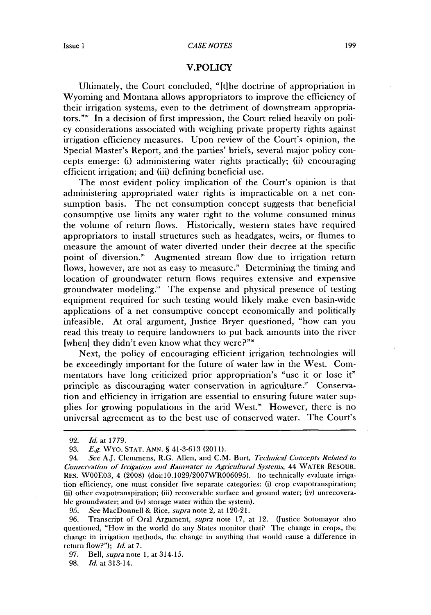#### *CASE NOTES* Issue **1 199**

#### V.POLICY

Ultimately, the Court concluded, "Itihe doctrine of appropriation in Wyoming and Montana allows appropriators to improve the efficiency of their irrigation systems, even to the detriment of downstream appropriators."<sup>99</sup> In a decision of first impression, the Court relied heavily on policy considerations associated with weighing private property rights against irrigation efficiency measures. Upon review of the Court's opinion, the Special Master's Report, and the parties' briefs, several major policy concepts emerge: **(i)** administering water rights practically; **(ii)** encouraging efficient irrigation; and (iii) defining beneficial use.

The most evident policy implication of the Court's opinion is that administering appropriated water rights is impracticable on a net consumption basis. The net consumption concept suggests that beneficial consumptive use limits any water right to the volume consumed minus the volume of return flows. Historically, western states have required appropriators to install structures such as headgates, weirs, or flumes to measure the amount of water diverted under their decree at the specific point of diversion." Augmented stream flow due to irrigation return flows, however, are not as easy to measure." Determining the timing and location of groundwater return flows requires extensive and expensive groundwater modeling." The expense and physical presence of testing equipment required for such testing would likely make even basin-wide applications of a net consumptive concept economically and politically infeasible. At oral argument, Justice Bryer questioned, "how can you read this treaty to require landowners to put back amounts into the river [when] they didn't even know what they were?"

Next, the policy of encouraging efficient irrigation technologies will be exceedingly important for the future of water law in the West. Commentators have long criticized prior appropriation's "use it or lose it" principle as discouraging water conservation in agriculture." Conservation and efficiency in irrigation are essential to ensuring future water **sup**plies for growing populations in the arid West." However, there is no universal agreement as to the best use of conserved water. The Court's

*95. See* MacDonnell **&** *Rice, supra* note 2, at 120-21.

**97.** *Bell, supra note* **1,** at 314-15.

**98.** *Id.* at 313-14.

**<sup>92.</sup>** *Id. at* **1779.**

*<sup>93.</sup> E.g.* WYO. **STAT. ANN. S** 41-3-613 **(2011).**

<sup>94.</sup> *See* **Aj.** Clemmens, R.G. Allen, and **C.M.** Burt, *Technical Concepts* Related to *Conservation of Irrigation and Rainwater in Agricultural Systems,* 44 WATER RESOUR. RES. W00E03, 4 **(2008)** (doi:10.1029/2007WR006095). (to technically evaluate irrigation efficiency, one must consider five separate categories: (i) crop evapotranspiration; (ii) other evapotranspiration; (iii) recoverable surface and ground water; (iv) unrecoverable groundwater; and (iv) storage water within the system).

**<sup>96.</sup>** Transcript of Oral Argument, *supra* note **17,** at 12. (Justice Sotomayor also questioned, "How in the world do any States monitor that? The change in crops, the change in irrigation methods, the change in anything that would cause a difference in return **flow?");** *Id.* at **7.**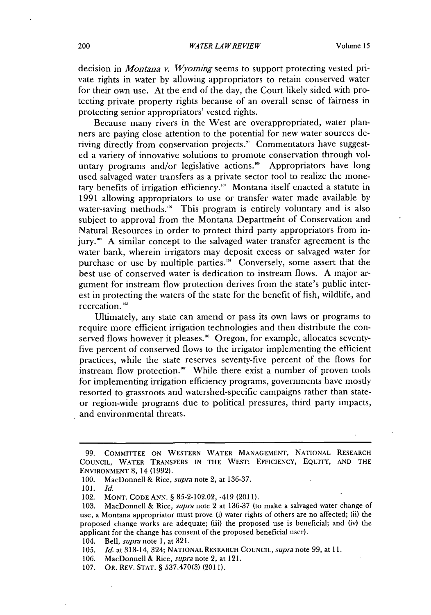decision in *Montana v. Wyoming* seems to support protecting vested private rights in water **by** allowing appropriators to retain conserved water for their own use. At the end of the day, the Court likely sided with protecting private property rights because of an overall sense of fairness in protecting senior appropriators' vested rights.

Because many rivers in the West are overappropriated, water planners are paying close attention to the potential for new water sources deriving directly from conservation projects." Commentators have suggested a variety of innovative solutions to promote conservation through voluntary programs and/or legislative actions.<sup>"</sup> Appropriators have long used salvaged water transfers as a private sector tool to realize the monetary benefits of irrigation efficiency."' Montana itself enacted a statute in **1991** allowing appropriators to use or transfer water made available **by** water-saving methods. $^{\omega\alpha}$  This program is entirely voluntary and is also subject to approval from the Montana Departmeht of Conservation and Natural Resources in order to protect third party appropriators from injury." **A** similar concept to the salvaged water transfer agreement is the water bank, wherein irrigators may deposit excess or salvaged water for purchase or use **by** multiple parties."' Conversely, some assert that the best use of conserved water is dedication to instream flows. **A** major argument for instream flow protection derives from the state's public interest in protecting the waters of the state for the benefit of fish, wildlife, and recreation. **'**

Ultimately, any state can amend or pass its own laws or programs to require more efficient irrigation technologies and then distribute the conserved flows however it pleases.<sup>166</sup> Oregon, for example, allocates seventyfive percent of conserved flows to the irrigator implementing the efficient practices, while the state reserves seventy-five percent of the flows for instream flow protection." While there exist a number of proven tools for implementing irrigation efficiency programs, governments have mostly resorted to grassroots and watershed-specific campaigns rather than stateor region-wide programs due to political pressures, third party impacts, and environmental threats.

*105. Id.* at 313-14, 324; **NATIONAL** RESEARCH **COUNCIL,** *supra* note **99,** at **11.**

*<sup>99.</sup>* **COMMITTEE ON** WESTERN WATER **MANAGEMENT, NATIONAL** RESEARCH **CouNCIL,** WATER TRANSFERS **IN** THE WEST: EFFICIENCY, EQUITY, **AND** THE **ENVIRONMENT 8,** 14 **(1992).**

**<sup>100.</sup>** MacDonnell **&** *Rice, supra* note 2, at **136-37.**

*<sup>101.</sup> Id.*

<sup>102.</sup> **MONT. CODE ANN. § 85-2-102.02,** -419 (20.11).

**<sup>103.</sup>** MacDonnell **&** *Rice, supra* note 2 at **136-37** (to make a salvaged water change of use, a Montana appropriator must prove (i) water rights of others are no affected; (ii) the proposed change works are adequate; (iii) the proposed use is beneficial; and (iv) the applicant for the change has consent of the proposed beneficial user).

<sup>104.</sup> *Bell, supra note* **1,** at **321.**

**<sup>106.</sup>** MacDonnell **&** *Rice, supra* note 2, at 121.

**<sup>107.</sup>** OR. REV. **STAT. § 537.470(3) (2011).**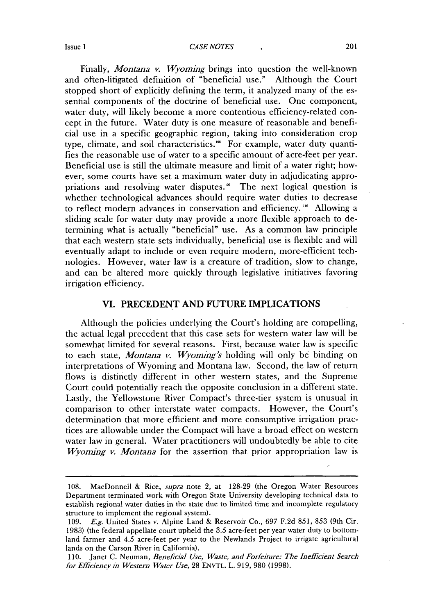#### **Issue 1 CASE NOTES 1 1 201**

Finally, *Montana v. Wyoming* brings into question the well-known and often-litigated definition of "beneficial use." Although the Court stopped short of explicitly defining the term, it analyzed many of the essential components of the doctrine of beneficial use. One component, water duty, will likely become a more contentious efficiency-related concept in the future. Water duty is one measure of reasonable and beneficial use in a specific geographic region, taking into consideration crop type, climate, and soil characteristics." For example, water duty quantifies the reasonable use of water to a specific amount of acre-feet per year. Beneficial use is still the ultimate measure and limit of a water right; however, some courts have set a maximum water duty in adjudicating appropriations and resolving water disputes." The next logical question **is** whether technological advances should require water duties to decrease to reflect modern advances in conservation and efficiency. **"o** Allowing a sliding scale for water duty may provide a more flexible approach to determining what is actually "beneficial" use. As a common law principle that each western state sets individually, beneficial use is flexible and will eventually adapt to include or even require modern, more-efficient technologies. However, water law is a creature of tradition, slow to change, and can be altered more quickly through legislative initiatives favoring irrigation efficiency.

# **VI. PRECEDENT AND FUTURE IMPLICATIONS**

Although the policies underlying the Court's holding are compelling, the actual legal precedent that this case sets for western water law will be somewhat limited for several reasons. First, because water law is specific to each state, *Montana v. Wyoming's* holding will only be binding on interpretations of Wyoming and Montana law. Second, the law of return flows is distinctly different in other western states, and the Supreme Court could potentially reach the opposite conclusion in a different state. Lastly, the Yellowstone River Compact's three-tier system is unusual in comparison to other interstate water compacts. However, the Court's determination that more efficient and more consumptive irrigation practices are allowable under the Compact will have a broad effect on western water law in general. Water practitioners will undoubtedly be able to cite *Wyoming v. Montana* for the assertion that prior appropriation law is

**<sup>108.</sup>** MacDonnell **&** *Rice, supra* note 2, at **128-29** (the Oregon Water Resources Department terminated work with Oregon State University developing technical data to establish regional water duties in the state due to limited time and incomplete regulatory structure to implement the regional system).

**<sup>109.</sup>** *E.g.* United States v. Alpine Land **&** Reservoir Co., **697 F.2d 851, 853** (9th Cir. **1983)** (the federal appellate court upheld the *3.5* acre-feet per year water duty to bottomland farmer and 4.5 acre-feet per year to the Newlands Project to irrigate agricultural lands on the Carson River in California).

**<sup>110.</sup>** Janet **C.** Neuman, *Beneficial Use, Waste, and Forfeiture: The Inefficient Search forEficiencyin Western Water Use,* **28 ENVTL.** L. **919, 980 (1998).**